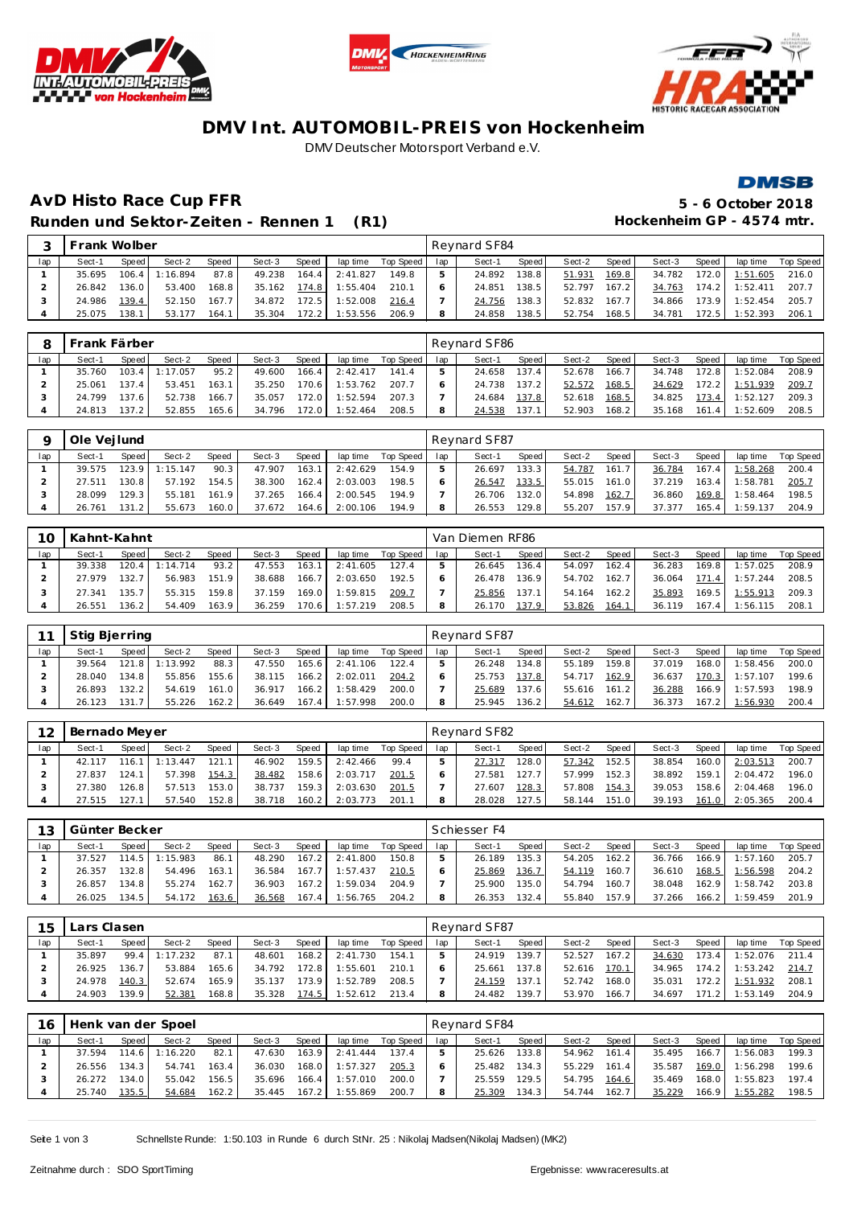





### **DMV Int. AUTOMOBIL-PREIS von Hockenheim** DMV Deutscher Motorsport Verband e.V.



# **AvD Histo Race Cup FFR 5 - 6 October 2018** Runden und Sektor-Zeiten - Rennen 1 (R1) **Hockenheim GP** - 4574 mtr.

|     | Frank Wolber |       |         |       |        |       |          |           |     | Revnard SF84 |                    |        |        |        |       |                  |           |
|-----|--------------|-------|---------|-------|--------|-------|----------|-----------|-----|--------------|--------------------|--------|--------|--------|-------|------------------|-----------|
| lap | Sect-1       | Speed | Sect-2  | Speed | Sect-3 | Speed | lap time | Top Speed | lap | Sect-1       | Speed              | Sect-2 | Speed  | Sect-3 | Speed | lap time         | Top Speed |
|     | 35.695       | 106.4 | :16.894 | 87.8  | 49.238 | 164.4 | 2:41.827 | 149.8     |     | 24.892       | 138.8 <sub>1</sub> | 51.931 | 169.8  | 34.782 |       | 172.0 1:51.605   | 216.0     |
|     | 26.842       | 136.0 | 53.400  | 168.8 | 35.162 | 174.8 | 1:55.404 | 210.1     |     | 24.851       | 138.51             | 52.797 | 167.2  | 34.763 |       | $174.2$ 1:52.411 | 207.7     |
|     | 24.986       | 139.4 | 52.150  | 167.7 | 34.872 | 172.5 | 1:52.008 | 216.4     |     | 24.756       | 138.3              | 52.832 | 167.71 | 34.866 |       | 173.9 1:52.454   | 205.7     |
|     | 25.075       | 138.1 | 53.177  | 164.1 | 35.304 | 172.2 | 1:53.556 | 206.9     |     | 24.858       | 138.5              | 52.754 | 168.5  | 34.781 | 172.5 | 1:52.393         | 206.7     |

| -8  | <b>I Frank Färber</b> |       |                |       |              |       |                    |                    |              | Revnard SF86 |       |              |       |              |       |                         |                    |
|-----|-----------------------|-------|----------------|-------|--------------|-------|--------------------|--------------------|--------------|--------------|-------|--------------|-------|--------------|-------|-------------------------|--------------------|
| lap | Sect-1                | Speed | Sect-2         | Speed | Sect-3       | Speed |                    | lap time Top Speed | lap          | Sect-1       | Speed | Sect-2       | Speed | Sect-3       | Speed |                         | lap time Top Speed |
|     | 35.760                |       | 103.4 1:17.057 | 95.2  | 49.600       |       | $166.4$   2:42.417 | 141.4              | $-5$         | 24.658       | 137.4 | 52.678       | 166.7 | 34.748 172.8 |       | 1:52.084                | 208.9              |
|     | 25.061                | 137.4 | 53.451         | 163.1 | 35.250       | 170.6 | 1:53.762           | 207.7              |              | 24.738       | 137.2 | 52.572       | 168.5 |              |       | 34.629 172.2 1:51.939   | 209.7              |
|     | 24.799                | 137.6 | 52.738         | 166.7 | 35.057       | 172.0 | 1:52.594           | 207.3              |              | 24.684       | 137.8 | 52.618       | 168.5 |              |       | 34.825 173.4 1:52.127   | 209.3              |
|     | 24.813                | 137.2 | 52.855         | 165.6 | 34.796 172.0 |       | 1:52.464           | 208.5              | <sub>R</sub> | 24.538       | 137.1 | 52.903 168.2 |       |              |       | 35.168  161.4  1:52.609 | 208.5              |

|     | Ole Veilund |                    |          |       |        |        |          |           |     | Reynard SF87 |                    |        |       |        |       |          |           |
|-----|-------------|--------------------|----------|-------|--------|--------|----------|-----------|-----|--------------|--------------------|--------|-------|--------|-------|----------|-----------|
| lap | Sect-1      | Speed              | Sect-2   | Speed | Sect-3 | Speed  | lap time | Top Speed | lap | Sect-1       | Speed              | Sect-2 | Speed | Sect-3 | Speed | lap time | Top Speed |
|     | 39.575      | 123.9              | 1:15.147 | 90.3  | 47.907 | 163.1  | 2:42.629 | 154.9     |     | 26.697       | 133.3              | 54.787 | 161.7 | 36.784 | 167.4 | 1:58.268 | 200.4     |
|     | 27.511      | 130.8              | 57.192   | 154.5 | 38.300 | 162.4  | 2:03.003 | 198.5     |     | 26.547       | 133.5              | 55.015 | 161.0 | 37.219 | 163.4 | 1:58.781 | 205.7     |
|     | 28.099      | 129.3 <sub>1</sub> | 55.181   | 161.9 | 37.265 | 166.41 | 2:00.545 | 194.9     |     | 26.706       | 132.0              | 54.898 | 162.7 | 36.860 | 169.8 | 1:58.464 | 198.5     |
|     | 26.761      | 131.21             | 55.673   | 160.0 | 37.672 | 164.6  | 2:00.106 | 194.9     | 8   | 26.553       | 129.8 <sub>1</sub> | 55.207 | 157.9 | 37.377 | 165.4 | :59.137  | 204.9     |

| 10  | Kahnt-Kahnt |              |          |       |        |        |          |           |     | Van Diemen RF86 |       |        |       |        |       |          |           |
|-----|-------------|--------------|----------|-------|--------|--------|----------|-----------|-----|-----------------|-------|--------|-------|--------|-------|----------|-----------|
| lap | Sect-1      | <b>Speed</b> | Sect-2   | Speed | Sect-3 | Speed  | lap time | Top Speed | lap | Sect-1          | Speed | Sect-2 | Speed | Sect-3 | Speed | lap time | Top Speed |
|     | 39.338      | 120.4        | 1:14.714 | 93.2  | 47.553 | 163.1  | 2:41.605 | 127.4     |     | 26.645          | 136.4 | 54.097 | 162.4 | 36.283 | 169.8 | 1:57.025 | 208.9     |
|     | 27.979      | 132.7        | 56.983   | 151.9 | 38.688 | 166.71 | 2:03.650 | 192.5     |     | 26.478          | 136.9 | 54.702 | 162.7 | 36.064 | 171.4 | 1:57.244 | 208.5     |
|     | 27.341      | 135.7        | 55.315   | 159.8 | 37.159 | 169.0  | 1:59.815 | 209.7     |     | 25.856          | 137.1 | 54.164 | 162.2 | 35.893 | 169.5 | : 55.913 | 209.3     |
|     | 26.551      | 136.2        | 54.409   | 163.9 | 36.259 | 70.6   | 1:57.219 | 208.5     | 8   | 26.170          | 137.9 | 53.826 | 164.1 | 36.119 | 167.4 | :56.115  | 208.      |

|     | Stig Bjerring |         |          |              |        |                        |           |           |     | Revnard SF87 |         |        |       |        |       |          |           |
|-----|---------------|---------|----------|--------------|--------|------------------------|-----------|-----------|-----|--------------|---------|--------|-------|--------|-------|----------|-----------|
| lap | Sect-1        | Speed I | Sect-2   | <b>Speed</b> | Sect-3 | Speed                  | lap time  | Top Speed | lap | Sect-1       | Speed I | Sect-2 | Speed | Sect-3 | Speed | lap time | Top Speed |
|     | 39.564        | 121.8   | 1:13.992 | 88.3         | 47.550 | $165.6$ $\blacksquare$ | 2: 41.106 | 122.4     |     | 26.248       | 134.8   | 55.189 | 159.8 | 37.019 | 168.0 | 1:58.456 | 200.0     |
|     | 28.040        | 134.8   | 55.856   | 155.6        | 38.115 | $166.2$                | 2:02.011  | 204.2     |     | 25.753       | 137.8   | 54.717 | 162.9 | 36.637 | 170.3 | 1:57.107 | 199.6     |
|     | 26.893        | 132.2   | 54.619   | 161.0        | 36.917 | 166.21                 | 1:58.429  | 200.0     |     | 25.689       | 137.6   | 55.616 | 161.2 | 36.288 | 166.9 | 1:57.593 | 198.9     |
|     | 26.123        | 131     | 55.226   | 162.2        | 36.649 | 167.4                  | 1:57.998  | 200.0     | 8   | 25.945       | 136.21  | 54.612 | 162.7 | 36.373 | 167.2 | 1:56.930 | 200.4     |

| 12  | Bernado Meyer |       |        |              |        |       |          |           |     | Reynard SF82 |       |        |       |        |       |          |           |
|-----|---------------|-------|--------|--------------|--------|-------|----------|-----------|-----|--------------|-------|--------|-------|--------|-------|----------|-----------|
| lap | Sect-1        | Speed | Sect-2 | <b>Speed</b> | Sect-3 | Speed | lap time | Top Speed | lap | Sect-1       | Speed | Sect-2 | Speed | Sect-3 | Speed | lap time | Top Speed |
|     | 42.117        | 16.   | 13.447 | 121.1        | 46.902 | 159.5 | 2:42.466 | 99.4      |     | 27.317       | '28.0 | 57.342 | 152.5 | 38.854 | 160.0 | 2:03.513 | 200.7     |
|     | 27.837        | 124.1 | 57.398 | 154.3        | 38.482 | 158.6 | 2:03.717 | 201.5     |     | 27.581       | 127.7 | 57.999 | 152.3 | 38.892 | 159.1 | 2:04.472 | 196.0     |
|     | 27.380        | 126.8 | 57.513 | 153.0        | 38.737 | 59.3  | 2:03.630 | 201.5     |     | 27.607       | 128.3 | 57.808 | 154.3 | 39.053 | 158.6 | 2:04.468 | 196.0     |
|     | 27.515        | 127.  | 57.540 | 152.8        | 38.718 | 160.2 | 2:03.773 | 201.7     |     | 28.028       | 127.5 | 58.144 | 151.0 | 39.193 | 161.0 | 2:05.365 | 200.4     |

| 13  | Günter Becker |                                                                |          |       |        |         |          |       |  | Schiesser F4 |       |        |       |        |       |          |           |
|-----|---------------|----------------------------------------------------------------|----------|-------|--------|---------|----------|-------|--|--------------|-------|--------|-------|--------|-------|----------|-----------|
| lap | Sect-1        | <b>Speed</b><br>Speed<br>Speed<br>Sect-2<br>lap time<br>Sect-3 |          |       |        |         |          |       |  | Sect-1       | Speed | Sect-2 | Speed | Sect-3 | Speed | lap time | Top Speed |
|     | 37.527        | 114.5                                                          | 1:15.983 | 86.1  | 48.290 | 167.2   | 2:41.800 | 150.8 |  | 26.189       | 135.3 | 54.205 | 162.2 | 36.766 | 166.9 | 1:57.160 | 205.7     |
|     | 26.357        | 132.81                                                         | 54.496   | 163.1 | 36.584 | 167.7   | 1:57.437 | 210.5 |  | 25.869       | 136.7 | 54.119 | 160.7 | 36.610 | 168.5 | 1:56.598 | 204.2     |
|     | 26.857        | 134.8                                                          | 55.274   | 162.7 | 36.903 | $167.2$ | 1:59.034 | 204.9 |  | 25.900       | 135.0 | 54.794 | 160.7 | 38.048 | 162.9 | 1:58.742 | 203.8     |
|     | 26.025        | 134.5                                                          | 54.172   | 163.6 | 36.568 | 167.4   | 1:56.765 | 204.2 |  | 26.353       | 132.4 | 55.840 | 157.9 | 37.266 | 166.2 | 1:59.459 | 201.9     |

| 15  | Lars Clasen |       |          |       |        |       |          |           |     | Revnard SF87 |       |        |        |        |                    |          |           |
|-----|-------------|-------|----------|-------|--------|-------|----------|-----------|-----|--------------|-------|--------|--------|--------|--------------------|----------|-----------|
| lap | Sect-1      | Speed | Sect-2   | Speed | Sect-3 | Speed | lap time | Top Speed | lap | Sect-1       | Speed | Sect-2 | Speed  | Sect-3 | Speed              | lap time | Top Speed |
|     | 35.897      | 99.4  | 1:17.232 | 87.1  | 48.601 | 168.2 | 2:41.730 | 154.1     |     | 24.919       | 139.7 | 52.527 | 167.21 | 34.630 | 173.4              | 1:52.076 | 211.4     |
|     | 26.925      | 136.7 | 53.884   | 165.6 | 34.792 | 172.8 | 1:55.601 | 210.1     |     | 25.661       | 137.8 | 52.616 | 170.1  | 34.965 | 174.2              | 1:53.242 | 214.7     |
|     | 24.978      | 140.3 | 52.674   | 165.9 | 35.137 | 173.9 | 1:52.789 | 208.5     |     | 24.159       | 137.1 | 52.742 | 168.0  | 35.031 | 172.2              | 1:51.932 | 208.1     |
|     | 24.903      | 139.9 | 52.381   | 168.8 | 35.328 | 174.5 | 1:52.612 | 213.4     |     | 24.482       | 139.7 | 53.970 | 166.7  | 34.697 | 171.2 <sub>1</sub> | 1:53.149 | 204.9     |

| 16  |        |         | Henk van der Spoel |       |        |       |           |           |     | Reynard SF84 |         |        |       |        |       |          |           |
|-----|--------|---------|--------------------|-------|--------|-------|-----------|-----------|-----|--------------|---------|--------|-------|--------|-------|----------|-----------|
| lap | Sect-1 | Speed I | Sect-2             | Speed | Sect-3 | Speed | lap time  | Top Speed | lap | Sect-1       | Speed I | Sect-2 | Speed | Sect-3 | Speed | lap time | Top Speed |
|     | 37.594 | 114.6   | 1:16.220           | 82.1  | 47.630 | 163.9 | 2: 41.444 | 137.4     |     | 25.626       | 133.8   | 54.962 | 161.4 | 35.495 | 166.7 | 1:56.083 | 199.3     |
|     | 26.556 | 134.3   | 54.741             | 163.4 | 36.030 | 168.0 | 1:57.327  | 205.3     |     | 25.482       | 134.3   | 55.229 | 161.4 | 35.587 | 169.0 | 1:56.298 | 199.6     |
|     | 26.272 | 134.0   | 55.042             | 156.5 | 35.696 | 166.4 | 1:57.010  | 200.0     |     | 25.559       | 129.5   | 54.795 | 164.6 | 35.469 | 168.0 | 1:55.823 | 197.4     |
|     | 25.740 | 135.5   | 54.684             | 162.2 | 35.445 | 167.2 | 1:55.869  | 200.7     |     | 25.309       | 134.3   | 54.744 | 162.7 | 35.229 | 166.9 | 1:55.282 | 198.5     |

Seite 1 von 3 Schnellste Runde: 1:50.103 in Runde 6 durch StNr. 25 : Nikolaj Madsen(Nikolaj Madsen) (MK2)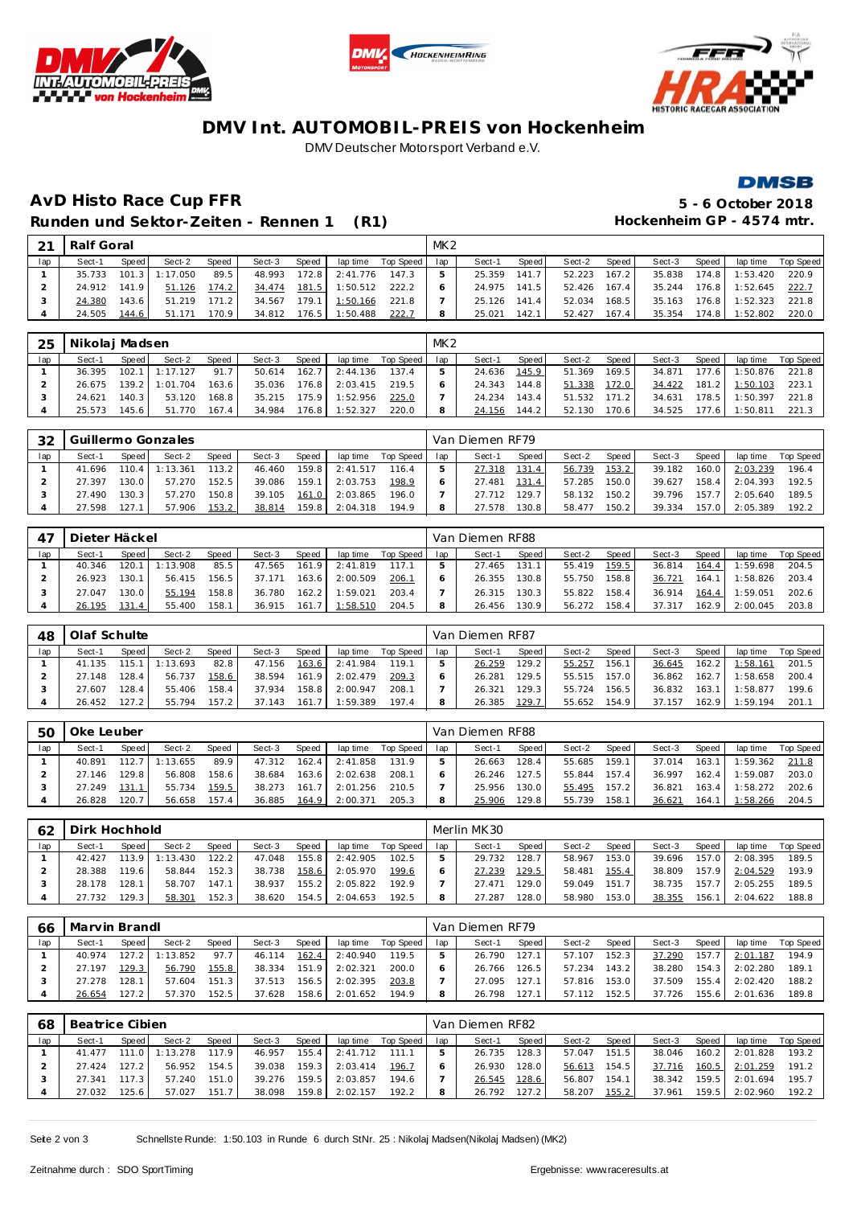





### **DMV Int. AUTOMOBIL-PREIS von Hockenheim** DMV Deutscher Motorsport Verband e.V.

#### **DMSB**

# **AvD Histo Race Cup FFR 5 - 6 October 2018** Runden und Sektor-Zeiten - Rennen 1 (R1) **Hockenheim GP** - 4574 mtr.

| $\mathcal{D}$ 1 | Ralf Goral |       |                  |       |        |       |          |           | MK <sub>2</sub> |        |        |        |        |        |       |          |           |
|-----------------|------------|-------|------------------|-------|--------|-------|----------|-----------|-----------------|--------|--------|--------|--------|--------|-------|----------|-----------|
| lap             | Sect-1     | Speed | Sect-2           | Speed | Sect-3 | Speed | lap time | Top Speed | lap             | Sect-1 | Speed  | Sect-2 | Speed  | Sect-3 | Speed | lap time | Top Speed |
|                 | 35.733     |       | $101.3$ 1:17.050 | 89.5  | 48.993 | 172.8 | 2:41.776 | 147.3     |                 | 25.359 | 141.7  | 52.223 | 167.2  | 35.838 | 174.8 | 1:53.420 | 220.9     |
|                 | 24.912     | 141.9 | 51.126           | 174.2 | 34.474 | 181.5 | 1:50.512 | 222.2     |                 | 24.975 | 141.5  | 52.426 | 167.4  | 35.244 | 176.8 | 1:52.645 | 222.7     |
|                 | 24.380     | 143.6 | 51.219           | 171.2 | 34.567 | 179.1 | 1:50.166 | 221.8     |                 | 25.126 | 141.41 | 52.034 | 168.51 | 35.163 | 176.8 | 1:52.323 | 221.8     |
|                 | 24.505     | 144.6 | 51.171           | 70.9  | 34.812 | 176.5 | 1:50.488 | 222.7     | 8               | 25.021 | 142.1  | 52.427 | 167.4  | 35.354 | 174.8 | 1:52.802 | 220.0     |

| 25  | Nikolaj Madsen |       |                       |       |              |         |          |           | MK <sub>2</sub> |        |       |              |       |        |       |                      |           |
|-----|----------------|-------|-----------------------|-------|--------------|---------|----------|-----------|-----------------|--------|-------|--------------|-------|--------|-------|----------------------|-----------|
| lap | Sect-1         | Speed | Sect-2                | Speed | Sect-3       | Speed i | lap time | Top Speed | lap             | Sect-1 | Speed | Sect-2       | Speed | Sect-3 | Speed | lap time             | Top Speed |
|     |                |       | 36.395 102.1 1:17.127 | 91.7  | 50.614       | 162.7   | 2:44.136 | 137.4     | 5 <sup>1</sup>  | 24.636 | 145.9 | 51.369       | 169.5 | 34.871 |       | 177.6 1:50.876 221.8 |           |
|     |                |       | 26.675 139.2 1:01.704 | 163.6 | 35.036       | 176.8   | 2:03.415 | 219.5     |                 | 24.343 | 144.8 | 51.338       | 172.0 | 34.422 |       | $181.2$ 1:50.103     | 223.1     |
|     | 24.621         | 140.3 | 53.120                | 168.8 | 35.215 175.9 |         | 1:52.956 | 225.0     |                 | 24.234 | 143.4 | 51.532 171.2 |       | 34.631 | 178.5 | 1:50.397             | 221.8     |
|     | 25.573         | 145.6 | 51.770                | 167.4 | 34.984 176.8 |         | 1:52.327 | 220.0     | 8               | 24.156 | 144.2 | 52.130 170.6 |       | 34.525 |       | 177.6 1:50.811       | 221.3     |

| 32  |        |                      | Guillermo Gonzales |       |        |       |          |           |     | Van Diemen RF79 |        |        |       |        |       |          |           |
|-----|--------|----------------------|--------------------|-------|--------|-------|----------|-----------|-----|-----------------|--------|--------|-------|--------|-------|----------|-----------|
| lap | Sect-1 | Speed                | Sect-2             | Speed | Sect-3 | Speed | lap time | Top Speed | lap | Sect-1          | Speed  | Sect-2 | Speed | Sect-3 | Speed | lap time | Top Speed |
|     | 41.696 | 110.4 $\blacksquare$ | 1:13.361           | 113.2 | 46.460 | 159.8 | 2:41.517 | 116.4     |     | 27.318          | 131.4  | 56.739 | 153.2 | 39.182 | 160.0 | 2:03.239 | 196.4     |
|     | 27.397 | 130.0                | 57.270             | 152.5 | 39.086 | 159.1 | 2:03.753 | 198.9     |     | 27.481          | 131.4  | 57.285 | 150.0 | 39.627 | 158.4 | 2:04.393 | 192.5     |
|     | 27.490 | 130.3                | 57.270             | 150.8 | 39.105 | 161.0 | 2:03.865 | 196.0     |     | 27.712          | 129.7. | 58.132 | 150.2 | 39.796 | 157.7 | 2:05.640 | 189.5     |
|     | 27.598 | 27.1                 | 57.906             | 153.2 | 38.814 | 159.8 | 2:04.318 | 194.9     |     | 27.578          | 130.8  | 58.477 | 150.2 | 39.334 | 157.0 | 2:05.389 | 192.2     |

| 47  | Dieter Häckel |       |          |       |        |       |                         |                | Van Diemen RF88 |       |              |         |        |       |                |             |
|-----|---------------|-------|----------|-------|--------|-------|-------------------------|----------------|-----------------|-------|--------------|---------|--------|-------|----------------|-------------|
| lap | Sect-1        | Speed | Sect-2   | Speed | Sect-3 | Speed | lap time                | Top Speed I ap | Sect-1          | Speed | Sect-2       | Speed I | Sect-3 | Speed | lap time       | Top Speed I |
|     | 40.346        | 120.1 | 1:13.908 | 85.5  | 47.565 | 161.9 | 2:41.819                | 117.1          | 27.465          | 131.1 | 55.419       | 159.5   | 36.814 | 164.4 | 1:59.698       | 204.5       |
|     | 26.923        | 130.1 | 56.415   | 156.5 | 37.171 | 163.6 | 2:00.509                | 206.1          | 26.355          | 130.8 | 55.750       | 158.8   | 36.721 | 164.1 | 1:58.826       | 203.4       |
|     | 27.047        | 130.0 | 55.194   | 158.8 | 36.780 |       | 162.2 1:59.021          | 203.4          | 26.315          | 130.3 | 55.822       | 158.4   | 36.914 |       | 164.4 1:59.051 | 202.6       |
|     | 26.195        | 131.4 | 55.400   | 158.1 |        |       | 36.915  161.7  1:58.510 | 204.5          | 26.456          | 130.9 | 56.272 158.4 |         | 37.317 | 162.9 | 2:00.045       | 203.8       |

| 48  | Olaf Schulte |         |          |              |        |        |          |           |     | Van Diemen RF87 |                    |        |       |        |       |          |           |
|-----|--------------|---------|----------|--------------|--------|--------|----------|-----------|-----|-----------------|--------------------|--------|-------|--------|-------|----------|-----------|
| lap | Sect-1       | Speed   | Sect-2   | <b>Speed</b> | Sect-3 | Speed  | lap time | Top Speed | lap | Sect-1          | Speed              | Sect-2 | Speed | Sect-3 | Speed | lap time | Top Speed |
|     | 41.135       | 115.1   | 1:13.693 | 82.8         | 47.156 | 163.6  | 2:41.984 | 119.1     |     | 26.259          | 129.21             | 55.257 | 156.1 | 36.645 | 162.2 | 1:58.161 | 201.5     |
|     | 27.148       | 128.4   | 56.737   | 158.6        | 38.594 | 161.9  | 2:02.479 | 209.3     |     | 26.281          | 129.51             | 55.515 | 157.0 | 36.862 | 162.7 | :58.658  | 200.4     |
|     | 27.607       | 128.4   | 55.406   | 158.4        | 37.934 | 158.81 | 2:00.947 | 208.1     |     | 26.321          | 129.3 <sub>1</sub> | 55.724 | 156.5 | 36.832 | 163.1 | :58.877  | 199.6     |
|     | 26.452       | $127.2$ | 55.794   | 157.2        | 37.143 | 161.7  | 1:59.389 | 197.4     | 8   | 26.385          | 129.7.             | 55.652 | 154.9 | 37.157 | 162.9 | :59.194  | 201.      |

| .5C | Oke Leuber |       |          |       |        |       |          |           |     | Van Diemen RF88 |        |        |       |        |       |          |           |
|-----|------------|-------|----------|-------|--------|-------|----------|-----------|-----|-----------------|--------|--------|-------|--------|-------|----------|-----------|
| lap | Sect-1     | Speed | Sect-2   | Speed | Sect-3 | Speed | lap time | Top Speed | lap | Sect-1          | Speed  | Sect-2 | Speed | Sect-3 | Speed | lap time | Top Speed |
|     | 40.891     | 112.7 | : 13.655 | 89.9  | 47.312 | 162.4 | 2:41.858 | 131.9     |     | 26.663          | 128.4  | 55.685 | 159.1 | 37.014 | 163.1 | 1:59.362 | 211.8     |
|     | 27.146     | 129.8 | 56.808   | 158.6 | 38.684 | 163.6 | 2:02.638 | 208.      |     | 26.246          | 127.5  | 55.844 | 157.4 | 36.997 | 162.4 | 1:59.087 | 203.0     |
|     | 27.249     | 131.1 | 55.734   | 159.5 | 38.273 | 161   | 2:01.256 | 210.5     |     | 25.956          | 130.01 | 55.495 | 157.2 | 36.821 | 163.4 | 1:58.272 | 202.6     |
|     | 26.828     | 120.7 | 56.658   | 157.4 | 36.885 | 164.9 | 2:00.371 | 205.3     |     | 25.906          | 129.8  | 55.739 | 158.1 | 36.621 | 164.1 | 1:58.266 | 204.5     |

| 62  | Dirk Hochhold |        |          |              |        |       |          |           |     | Merlin MK30 |       |        |       |        |       |          |           |
|-----|---------------|--------|----------|--------------|--------|-------|----------|-----------|-----|-------------|-------|--------|-------|--------|-------|----------|-----------|
| lap | Sect-1        | Speed  | Sect-2   | <b>Speed</b> | Sect-3 | Speed | lap time | Top Speed | lap | Sect-1      | Speed | Sect-2 | Speed | Sect-3 | Speed | lap time | Top Speed |
|     | 42.427        | 113.9  | 1:13.430 | 122.2        | 47.048 | 155.8 | 2:42.905 | 102.5     |     | 29.732      | 128.7 | 58.967 | 153.0 | 39.696 | 157.0 | 2:08.395 | 189.5     |
|     | 28.388        | 119.6  | 58.844   | 152.3        | 38.738 | 158.6 | 2:05.970 | 199.6     |     | 27.239      | 129.5 | 58.481 | 155.4 | 38.809 | 157.9 | 2:04.529 | 193.9     |
|     | 28.178        | 128.1  | 58.707   | 147.1        | 38.937 | 155.2 | 2:05.822 | 192.9     |     | 27.471      | 129.0 | 59.049 | 151.7 | 38.735 | 157.7 | 2:05.255 | 189.5     |
|     | 27.732        | 129.31 | 58.301   | 152.3        | 38.620 | 154.5 | 2:04.653 | 192.5     |     | 27.287      | 128.0 | 58.980 | 153.0 | 38.355 | 156.1 | 2:04.622 | 188.8     |

| 66  | Marvin Brandl |        |          |              |        |        |          |           |     | Van Diemen RF79 |         |        |       |        |       |          |           |
|-----|---------------|--------|----------|--------------|--------|--------|----------|-----------|-----|-----------------|---------|--------|-------|--------|-------|----------|-----------|
| lap | Sect-1        | Speed  | Sect-2   | <b>Speed</b> | Sect-3 | Speed  | lap time | Top Speed | lap | Sect-1          | Speed I | Sect-2 | Speed | Sect-3 | Speed | lap time | Top Speed |
|     | 40.974        | 127.2  | 1:13.852 | 97.7         | 46.114 | 162.41 | 2:40.940 | 119.5     |     | 26.790          | 127.1   | 57.107 | 152.3 | 37.290 | 157.7 | 2:01.187 | 194.9     |
|     | 27.197        | 129.3  | 56.790   | 155.8        | 38.334 | 151.9  | 2:02.321 | 200.0     |     | 26.766          | 126.5   | 57.234 | 143.2 | 38.280 | 154.3 | 2:02.280 | 189.1     |
|     | 27.278        | 128.11 | 57.604   | 151.3        | 37.513 | 156.5  | 2:02.395 | 203.8     |     | 27.095          | 127.    | 57.816 | 153.0 | 37.509 | 155.4 | 2:02.420 | 188.2     |
|     | 26.654        | 127.2  | 57.370   | 152.5        | 37.628 | 158.6  | 2:01.652 | 194.9     | 8   | 26.798          | 127.    | 57.112 | 152.5 | 37.726 | 155.6 | 2:01.636 | 189.8     |

| 68  | Beatrice Cibien |       |          |        |        |       |          |           |     | Van Diemen RF82 |       |        |       |        |       |                |           |
|-----|-----------------|-------|----------|--------|--------|-------|----------|-----------|-----|-----------------|-------|--------|-------|--------|-------|----------------|-----------|
| lap | Sect-1          | Speed | Sect-2   | Speed  | Sect-3 | Speed | lap time | Top Speed | lap | Sect-1          | Speed | Sect-2 | Speed | Sect-3 | Speed | lap time       | Top Speed |
|     | 41.477          | 111.0 | 1:13.278 | 117.9  | 46.957 | 155.4 | 2:41.712 | 111.1     |     | 26.735          | 128.3 | 57.047 | 151.5 | 38.046 |       | 160.2 2:01.828 | 193.2     |
|     | 27.424          | 127.2 | 56.952   | 154.5  | 39.038 | 159.3 | 2:03.414 | 196.7     |     | 26.930          | 128.0 | 56.613 | 154.5 | 37.716 | 160.5 | 2:01.259       | 191.2     |
|     | 27.341          | 117.3 | 57.240   | 151.01 | 39.276 | 159.5 | 2:03.857 | 194.6     |     | 26.545          | 128.6 | 56.807 | 154.1 | 38.342 |       | 159.5 2:01.694 | 195.7     |
|     | 27.032          | 125.6 | 57.027   | 151.7  | 38.098 | 159.8 | 2:02.157 | 192.2     |     | 26.792          | 127.2 | 58.207 | 155.2 | 37.961 | 159.5 | 2:02.960       | 192.2     |

Seite 2 von 3 Schnellste Runde: 1:50.103 in Runde 6 durch StNr. 25 : Nikolaj Madsen(Nikolaj Madsen) (MK2)